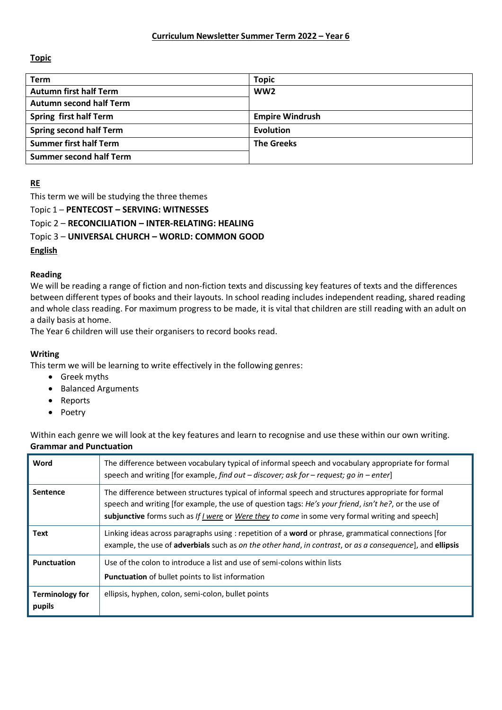# **Topic**

| <b>Term</b>                    | <b>Topic</b>           |
|--------------------------------|------------------------|
| <b>Autumn first half Term</b>  | WW <sub>2</sub>        |
| <b>Autumn second half Term</b> |                        |
| <b>Spring first half Term</b>  | <b>Empire Windrush</b> |
| <b>Spring second half Term</b> | Evolution              |
| <b>Summer first half Term</b>  | <b>The Greeks</b>      |
| <b>Summer second half Term</b> |                        |

# **RE**

This term we will be studying the three themes

Topic 1 – **PENTECOST – SERVING: WITNESSES**

Topic 2 – **RECONCILIATION – INTER-RELATING: HEALING**

Topic 3 – **UNIVERSAL CHURCH – WORLD: COMMON GOOD**

### **English**

## **Reading**

We will be reading a range of fiction and non-fiction texts and discussing key features of texts and the differences between different types of books and their layouts. In school reading includes independent reading, shared reading and whole class reading. For maximum progress to be made, it is vital that children are still reading with an adult on a daily basis at home.

The Year 6 children will use their organisers to record books read.

## **Writing**

This term we will be learning to write effectively in the following genres:

- Greek myths
- Balanced Arguments
- Reports
- Poetry

Within each genre we will look at the key features and learn to recognise and use these within our own writing. **Grammar and Punctuation**

| Word                             | The difference between vocabulary typical of informal speech and vocabulary appropriate for formal<br>speech and writing [for example, find out - discover; ask for - request; go in - enter]                                                                                                                   |
|----------------------------------|-----------------------------------------------------------------------------------------------------------------------------------------------------------------------------------------------------------------------------------------------------------------------------------------------------------------|
| <b>Sentence</b>                  | The difference between structures typical of informal speech and structures appropriate for formal<br>speech and writing [for example, the use of question tags: He's your friend, isn't he?, or the use of<br>subjunctive forms such as If I were or Were they to come in some very formal writing and speech] |
| Text                             | Linking ideas across paragraphs using : repetition of a word or phrase, grammatical connections [for<br>example, the use of adverbials such as on the other hand, in contrast, or as a consequence], and ellipsis                                                                                               |
| <b>Punctuation</b>               | Use of the colon to introduce a list and use of semi-colons within lists<br><b>Punctuation</b> of bullet points to list information                                                                                                                                                                             |
| <b>Terminology for</b><br>pupils | ellipsis, hyphen, colon, semi-colon, bullet points                                                                                                                                                                                                                                                              |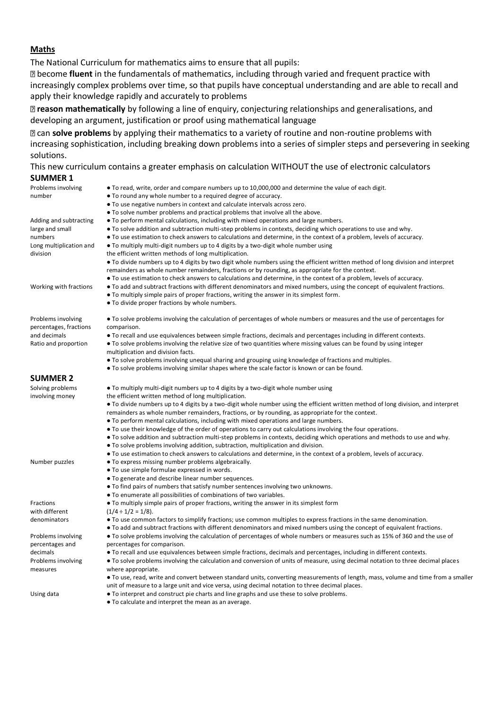#### **Maths**

The National Curriculum for mathematics aims to ensure that all pupils:

become **fluent** in the fundamentals of mathematics, including through varied and frequent practice with increasingly complex problems over time, so that pupils have conceptual understanding and are able to recall and apply their knowledge rapidly and accurately to problems

**reason mathematically** by following a line of enquiry, conjecturing relationships and generalisations, and developing an argument, justification or proof using mathematical language

can **solve problems** by applying their mathematics to a variety of routine and non-routine problems with increasing sophistication, including breaking down problems into a series of simpler steps and persevering in seeking solutions.

This new curriculum contains a greater emphasis on calculation WITHOUT the use of electronic calculators **SUMMER 1**

| Problems involving<br>number                 | • To read, write, order and compare numbers up to 10,000,000 and determine the value of each digit.<br>• To round any whole number to a required degree of accuracy.                                                                |
|----------------------------------------------|-------------------------------------------------------------------------------------------------------------------------------------------------------------------------------------------------------------------------------------|
|                                              | . To use negative numbers in context and calculate intervals across zero.                                                                                                                                                           |
|                                              | • To solve number problems and practical problems that involve all the above.                                                                                                                                                       |
| Adding and subtracting                       | • To perform mental calculations, including with mixed operations and large numbers.                                                                                                                                                |
| large and small                              | • To solve addition and subtraction multi-step problems in contexts, deciding which operations to use and why.                                                                                                                      |
| numbers                                      | • To use estimation to check answers to calculations and determine, in the context of a problem, levels of accuracy.                                                                                                                |
| Long multiplication and                      | • To multiply multi-digit numbers up to 4 digits by a two-digit whole number using                                                                                                                                                  |
| division                                     | the efficient written methods of long multiplication.                                                                                                                                                                               |
|                                              | • To divide numbers up to 4 digits by two digit whole numbers using the efficient written method of long division and interpret<br>remainders as whole number remainders, fractions or by rounding, as appropriate for the context. |
|                                              | • To use estimation to check answers to calculations and determine, in the context of a problem, levels of accuracy.                                                                                                                |
| Working with fractions                       | • To add and subtract fractions with different denominators and mixed numbers, using the concept of equivalent fractions.<br>• To multiply simple pairs of proper fractions, writing the answer in its simplest form.               |
|                                              | • To divide proper fractions by whole numbers.                                                                                                                                                                                      |
| Problems involving<br>percentages, fractions | • To solve problems involving the calculation of percentages of whole numbers or measures and the use of percentages for<br>comparison.                                                                                             |
| and decimals                                 | • To recall and use equivalences between simple fractions, decimals and percentages including in different contexts.                                                                                                                |
| Ratio and proportion                         | • To solve problems involving the relative size of two quantities where missing values can be found by using integer                                                                                                                |
|                                              | multiplication and division facts.                                                                                                                                                                                                  |
|                                              | • To solve problems involving unequal sharing and grouping using knowledge of fractions and multiples.                                                                                                                              |
|                                              | • To solve problems involving similar shapes where the scale factor is known or can be found.                                                                                                                                       |
| <b>SUMMER 2</b>                              |                                                                                                                                                                                                                                     |
| Solving problems                             | • To multiply multi-digit numbers up to 4 digits by a two-digit whole number using                                                                                                                                                  |
| involving money                              | the efficient written method of long multiplication.                                                                                                                                                                                |
|                                              | • To divide numbers up to 4 digits by a two-digit whole number using the efficient written method of long division, and interpret                                                                                                   |
|                                              | remainders as whole number remainders, fractions, or by rounding, as appropriate for the context.                                                                                                                                   |
|                                              | • To perform mental calculations, including with mixed operations and large numbers.                                                                                                                                                |
|                                              | • To use their knowledge of the order of operations to carry out calculations involving the four operations.                                                                                                                        |
|                                              | • To solve addition and subtraction multi-step problems in contexts, deciding which operations and methods to use and why.                                                                                                          |
|                                              | • To solve problems involving addition, subtraction, multiplication and division.                                                                                                                                                   |
|                                              | • To use estimation to check answers to calculations and determine, in the context of a problem, levels of accuracy.                                                                                                                |
| Number puzzles                               | • To express missing number problems algebraically.                                                                                                                                                                                 |
|                                              | • To use simple formulae expressed in words.                                                                                                                                                                                        |
|                                              | • To generate and describe linear number sequences.                                                                                                                                                                                 |
|                                              | • To find pairs of numbers that satisfy number sentences involving two unknowns.                                                                                                                                                    |
|                                              | • To enumerate all possibilities of combinations of two variables.                                                                                                                                                                  |
| Fractions                                    | • To multiply simple pairs of proper fractions, writing the answer in its simplest form                                                                                                                                             |
| with different                               | $(1/4 \div 1/2 = 1/8)$ .                                                                                                                                                                                                            |
| denominators                                 | • To use common factors to simplify fractions; use common multiples to express fractions in the same denomination.                                                                                                                  |
|                                              | • To add and subtract fractions with different denominators and mixed numbers using the concept of equivalent fractions.                                                                                                            |
| Problems involving                           | • To solve problems involving the calculation of percentages of whole numbers or measures such as 15% of 360 and the use of                                                                                                         |
| percentages and                              | percentages for comparison.                                                                                                                                                                                                         |
| decimals                                     | • To recall and use equivalences between simple fractions, decimals and percentages, including in different contexts.                                                                                                               |
| Problems involving                           | • To solve problems involving the calculation and conversion of units of measure, using decimal notation to three decimal places                                                                                                    |
| measures                                     | where appropriate.                                                                                                                                                                                                                  |
|                                              | • To use, read, write and convert between standard units, converting measurements of length, mass, volume and time from a smaller                                                                                                   |
|                                              | unit of measure to a large unit and vice versa, using decimal notation to three decimal places.                                                                                                                                     |
| Using data                                   | • To interpret and construct pie charts and line graphs and use these to solve problems.                                                                                                                                            |
|                                              | • To calculate and interpret the mean as an average.                                                                                                                                                                                |
|                                              |                                                                                                                                                                                                                                     |